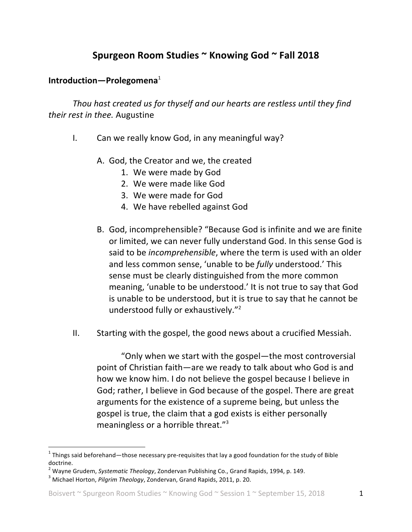## Spurgeon Room Studies ~ Knowing God ~ Fall 2018

## **Introduction—Prolegomena**<sup>1</sup>

*Thou hast created us for thyself and our hearts are restless until they find their rest in thee.* Augustine

- I. Can we really know God, in any meaningful way?
	- A. God, the Creator and we, the created
		- 1. We were made by God
		- 2. We were made like God
		- 3. We were made for God
		- 4. We have rebelled against God
	- B. God, incomprehensible? "Because God is infinite and we are finite or limited, we can never fully understand God. In this sense God is said to be *incomprehensible*, where the term is used with an older and less common sense, 'unable to be *fully* understood.' This sense must be clearly distinguished from the more common meaning, 'unable to be understood.' It is not true to say that God is unable to be understood, but it is true to say that he cannot be understood fully or exhaustively."<sup>2</sup>
- $II.$  Starting with the gospel, the good news about a crucified Messiah.

"Only when we start with the gospel—the most controversial point of Christian faith—are we ready to talk about who God is and how we know him. I do not believe the gospel because I believe in God; rather, I believe in God because of the gospel. There are great arguments for the existence of a supreme being, but unless the gospel is true, the claim that a god exists is either personally meaningless or a horrible threat."<sup>3</sup>

 $1$  Things said beforehand—those necessary pre-requisites that lay a good foundation for the study of Bible doctrine.

<sup>&</sup>lt;sup>2</sup> Wayne Grudem, *Systematic Theology*, Zondervan Publishing Co., Grand Rapids, 1994, p. 149.<br><sup>3</sup> Michael Horton, *Pilgrim Theology,* Zondervan, Grand Rapids, 2011, p. 20.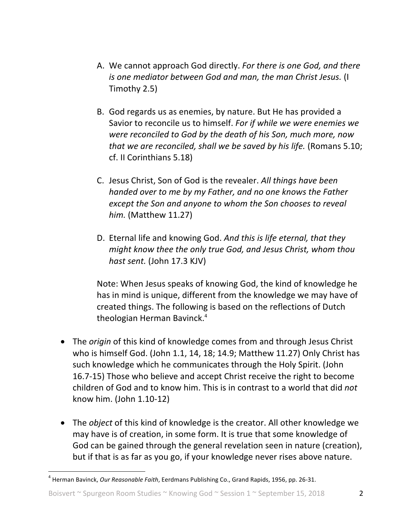- A. We cannot approach God directly. For there is one God, and there *is* one mediator between God and man, the man Christ Jesus. (I Timothy 2.5)
- B. God regards us as enemies, by nature. But He has provided a Savior to reconcile us to himself. For if while we were enemies we *were reconciled to God by the death of his Son, much more, now that* we are reconciled, shall we be saved by his life. (Romans 5.10; cf. II Corinthians 5.18)
- C. Jesus Christ, Son of God is the revealer. All things have been *handed* over to me by my Father, and no one knows the Father *except the Son and anyone to whom the Son chooses to reveal him.* (Matthew 11.27)
- D. Eternal life and knowing God. And this is life eternal, that they *might know thee the only true God, and Jesus Christ, whom thou hast sent.* (John 17.3 KJV)

Note: When Jesus speaks of knowing God, the kind of knowledge he has in mind is unique, different from the knowledge we may have of created things. The following is based on the reflections of Dutch theologian Herman Bavinck.<sup>4</sup>

- The *origin* of this kind of knowledge comes from and through Jesus Christ who is himself God. (John 1.1, 14, 18; 14.9; Matthew 11.27) Only Christ has such knowledge which he communicates through the Holy Spirit. (John 16.7-15) Those who believe and accept Christ receive the right to become children of God and to know him. This is in contrast to a world that did *not* know him. (John  $1.10-12$ )
- The *object* of this kind of knowledge is the creator. All other knowledge we may have is of creation, in some form. It is true that some knowledge of God can be gained through the general revelation seen in nature (creation), but if that is as far as you go, if your knowledge never rises above nature.

<sup>&</sup>lt;sup>4</sup> Herman Bavinck, *Our Reasonable Faith*, Eerdmans Publishing Co., Grand Rapids, 1956, pp. 26-31.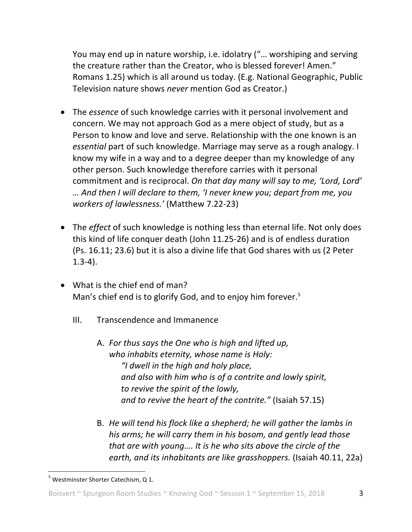You may end up in nature worship, i.e. idolatry ("... worshiping and serving the creature rather than the Creator, who is blessed forever! Amen." Romans 1.25) which is all around us today. (E.g. National Geographic, Public Television nature shows *never* mention God as Creator.)

- The *essence* of such knowledge carries with it personal involvement and concern. We may not approach God as a mere object of study, but as a Person to know and love and serve. Relationship with the one known is an essential part of such knowledge. Marriage may serve as a rough analogy. I know my wife in a way and to a degree deeper than my knowledge of any other person. Such knowledge therefore carries with it personal commitment and is reciprocal. On that day many will say to me, 'Lord, Lord' *… And then I will declare to them, 'I never knew you; depart from me, you workers of lawlessness.'* (Matthew 7.22-23)
- The *effect* of such knowledge is nothing less than eternal life. Not only does this kind of life conquer death (John 11.25-26) and is of endless duration (Ps. 16.11; 23.6) but it is also a divine life that God shares with us (2 Peter 1.3-4).
- What is the chief end of man? Man's chief end is to glorify God, and to enjoy him forever.<sup>5</sup>
	- III. Transcendence and Immanence
		- A. For thus says the One who is high and lifted up, who inhabits eternity, whose name is Holy: *"I dwell in the high and holy place,*  and also with him who is of a contrite and lowly spirit, to revive the spirit of the lowly, *and to revive the heart of the contrite."* (Isaiah 57.15)
		- B. He will tend his flock like a shepherd; he will gather the lambs in his arms; he will carry them in his bosom, and gently lead those *that are with young.... It is he who sits above the circle of the earth, and its inhabitants are like grasshoppers.* (Isaiah 40.11, 22a)

 $<sup>5</sup>$  Westminster Shorter Catechism, Q 1.</sup>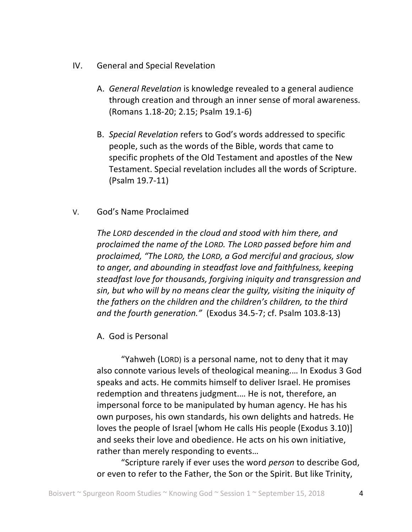- IV. General and Special Revelation
	- A. *General Revelation* is knowledge revealed to a general audience through creation and through an inner sense of moral awareness. (Romans 1.18-20; 2.15; Psalm 19.1-6)
	- B. *Special Revelation* refers to God's words addressed to specific people, such as the words of the Bible, words that came to specific prophets of the Old Testament and apostles of the New Testament. Special revelation includes all the words of Scripture. (Psalm 19.7-11)
- V. God's Name Proclaimed

The LORD descended in the cloud and stood with him there, and proclaimed the name of the LORD. The LORD passed before him and proclaimed, "The LORD, the LORD, a God merciful and gracious, slow to anger, and abounding in steadfast love and faithfulness, keeping *steadfast love for thousands, forgiving iniquity and transgression and* sin, but who will by no means clear the quilty, visiting the iniquity of the fathers on the children and the children's children, to the third *and the fourth generation.*" (Exodus 34.5-7; cf. Psalm 103.8-13)

A. God is Personal

"Yahweh (LORD) is a personal name, not to deny that it may also connote various levels of theological meaning.... In Exodus 3 God speaks and acts. He commits himself to deliver Israel. He promises redemption and threatens judgment.... He is not, therefore, an impersonal force to be manipulated by human agency. He has his own purposes, his own standards, his own delights and hatreds. He loves the people of Israel [whom He calls His people (Exodus 3.10)] and seeks their love and obedience. He acts on his own initiative, rather than merely responding to events...

"Scripture rarely if ever uses the word *person* to describe God, or even to refer to the Father, the Son or the Spirit. But like Trinity,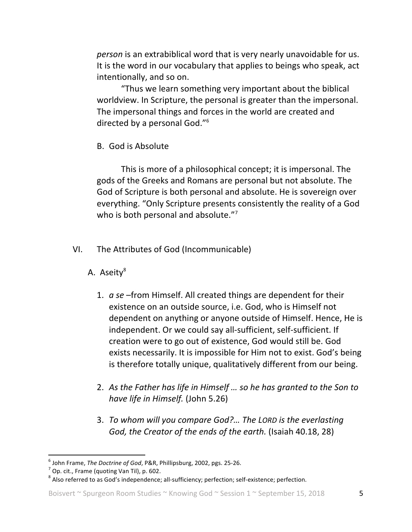*person* is an extrabiblical word that is very nearly unavoidable for us. It is the word in our vocabulary that applies to beings who speak, act intentionally, and so on.

"Thus we learn something very important about the biblical worldview. In Scripture, the personal is greater than the impersonal. The impersonal things and forces in the world are created and directed by a personal God."<sup>6</sup>

B. God is Absolute

This is more of a philosophical concept; it is impersonal. The gods of the Greeks and Romans are personal but not absolute. The God of Scripture is both personal and absolute. He is sovereign over everything. "Only Scripture presents consistently the reality of a God who is both personal and absolute."7

- VI. The Attributes of God (Incommunicable)
	- A. Aseity<sup>8</sup>
		- 1. *a se* –from Himself. All created things are dependent for their existence on an outside source, i.e. God, who is Himself not dependent on anything or anyone outside of Himself. Hence, He is independent. Or we could say all-sufficient, self-sufficient. If creation were to go out of existence, God would still be. God exists necessarily. It is impossible for Him not to exist. God's being is therefore totally unique, qualitatively different from our being.
		- 2. As the Father has life in Himself ... so he has granted to the Son to *have life in Himself.* (John 5.26)
		- 3. *To whom will you compare God?... The LORD is the everlasting God, the Creator of the ends of the earth.* (Isaiah 40.18, 28)

<sup>&</sup>lt;sup>6</sup> John Frame, *The Doctrine of God*, P&R, Phillipsburg, 2002, pgs. 25-26.<br><sup>7</sup> Op. cit., Frame (quoting Van Til), p. 602.<br><sup>8</sup> Also referred to as God's independence; all-sufficiency; perfection; self-existence; perfectio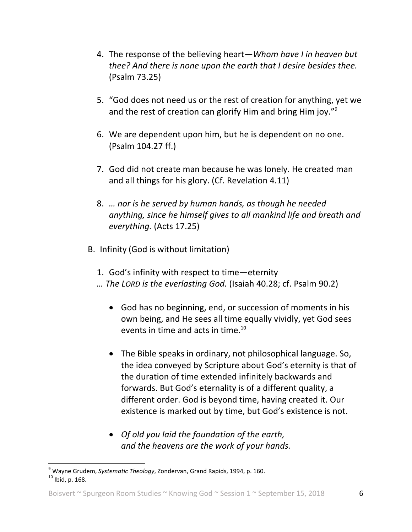- 4. The response of the believing heart—*Whom have I in heaven but thee?* And there *is none upon the earth that I desire besides thee.* (Psalm 73.25)
- 5. "God does not need us or the rest of creation for anything, yet we and the rest of creation can glorify Him and bring Him joy." $9$
- 6. We are dependent upon him, but he is dependent on no one. (Psalm 104.27 ff.)
- 7. God did not create man because he was lonely. He created man and all things for his glory. (Cf. Revelation 4.11)
- 8. *...* nor is he served by human hands, as though he needed anything, since he himself gives to all mankind life and breath and *everything.* (Acts 17.25)
- B. Infinity (God is without limitation)
	- 1. God's infinity with respect to time-eternity
	- *…* The LORD is the everlasting God. (Isaiah 40.28; cf. Psalm 90.2)
		- God has no beginning, end, or succession of moments in his own being, and He sees all time equally vividly, yet God sees events in time and acts in time.<sup>10</sup>
		- The Bible speaks in ordinary, not philosophical language. So, the idea conveyed by Scripture about God's eternity is that of the duration of time extended infinitely backwards and forwards. But God's eternality is of a different quality, a different order. God is beyond time, having created it. Our existence is marked out by time, but God's existence is not.
		- *Of old you laid the foundation of the earth, and the heavens are the work of your hands.*

<sup>&</sup>lt;sup>9</sup> Wayne Grudem, *Systematic Theology*, Zondervan, Grand Rapids, 1994, p. 160. 10 Ibid. p. 160.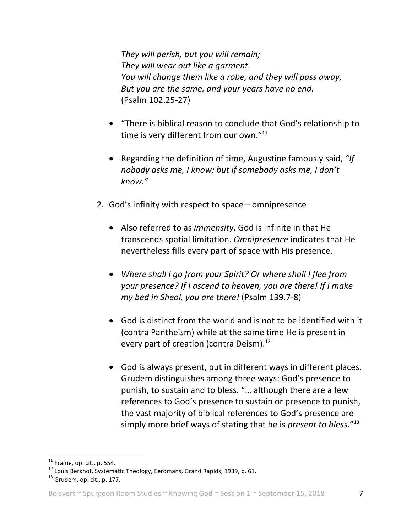They will perish, but you will remain; They will wear out like a garment. *You* will change them like a robe, and they will pass away, But you are the same, and your years have no end. (Psalm 102.25-27)

- "There is biblical reason to conclude that God's relationship to time is very different from our own." $11$
- Regarding the definition of time, Augustine famously said, "If nobody asks me, I know; but if somebody asks me, I don't *know."*
- 2. God's infinity with respect to space—omnipresence
	- Also referred to as *immensity*, God is infinite in that He transcends spatial limitation. Omnipresence indicates that He nevertheless fills every part of space with His presence.
	- Where shall I go from your Spirit? Or where shall I flee from *your* presence? If I ascend to heaven, you are there! If I make *my bed in Sheol, you are there!* (Psalm 139.7-8)
	- God is distinct from the world and is not to be identified with it (contra Pantheism) while at the same time He is present in every part of creation (contra Deism).<sup>12</sup>
	- God is always present, but in different ways in different places. Grudem distinguishes among three ways: God's presence to punish, to sustain and to bless. "... although there are a few references to God's presence to sustain or presence to punish, the vast majority of biblical references to God's presence are simply more brief ways of stating that he is *present to bless*."<sup>13</sup>

<sup>&</sup>lt;sup>11</sup> Frame, op. cit., p. 554.<br><sup>12</sup> Louis Berkhof, Systematic Theology, Eerdmans, Grand Rapids, 1939, p. 61.<br><sup>13</sup> Grudem, op. cit., p. 177.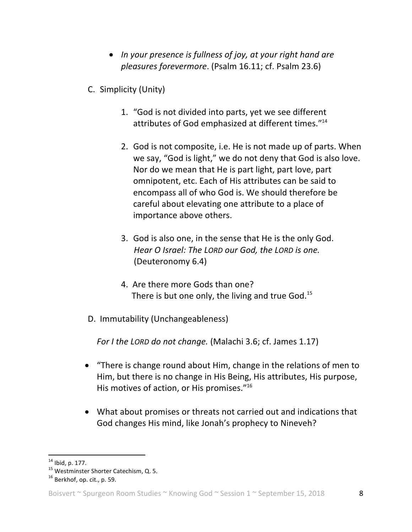- In your presence is fullness of joy, at your right hand are *pleasures forevermore*. (Psalm 16.11; cf. Psalm 23.6)
- C. Simplicity (Unity)
	- 1. "God is not divided into parts, yet we see different attributes of God emphasized at different times."<sup>14</sup>
	- 2. God is not composite, i.e. He is not made up of parts. When we say, "God is light," we do not deny that God is also love. Nor do we mean that He is part light, part love, part omnipotent, etc. Each of His attributes can be said to encompass all of who God is. We should therefore be careful about elevating one attribute to a place of importance above others.
	- 3. God is also one, in the sense that He is the only God. *Hear O Israel:* The *LORD* our *God,* the *LORD is* one. (Deuteronomy 6.4)
	- 4. Are there more Gods than one? There is but one only, the living and true God.<sup>15</sup>
- D. Immutability (Unchangeableness)

*For I the LORD do not change.* (Malachi 3.6; cf. James 1.17)

- "There is change round about Him, change in the relations of men to Him, but there is no change in His Being, His attributes, His purpose, His motives of action, or His promises. $"16"$
- What about promises or threats not carried out and indications that God changes His mind, like Jonah's prophecy to Nineveh?

<sup>&</sup>lt;sup>14</sup> Ibid, p. 177.<br><sup>15</sup> Westminster Shorter Catechism, Q. 5.<br><sup>16</sup> Berkhof, op. cit., p. 59.